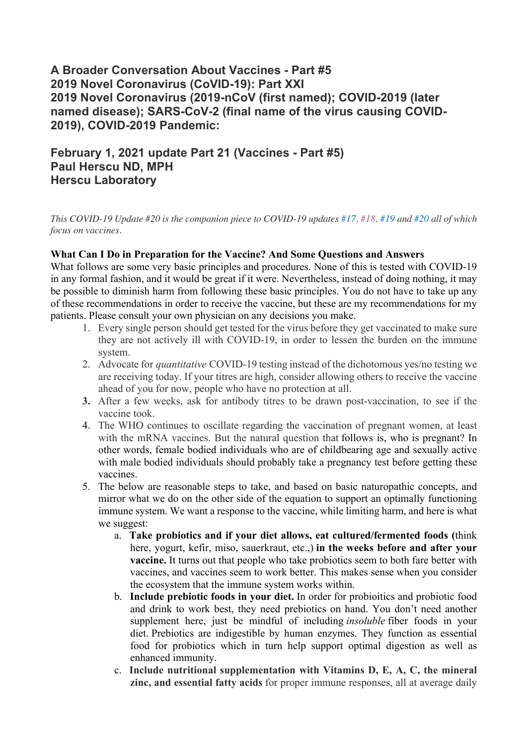## **A Broader Conversation About Vaccines - Part #5 2019 Novel Coronavirus (CoVID-19): Part XXI 2019 Novel Coronavirus (2019-nCoV (first named); COVID-2019 (later named disease); SARS-CoV-2 (final name of the virus causing COVID-2019), COVID-2019 Pandemic:**

## **February 1, 2021 update Part 21 (Vaccines - Part #5) Paul Herscu ND, MPH Herscu Laboratory**

*This COVID-19 Update #20 is the companion piece to COVID-19 updates #17, #18, #19 and #20 all of which focus on vaccines.*

## **What Can I Do in Preparation for the Vaccine? And Some Questions and Answers**

What follows are some very basic principles and procedures. None of this is tested with COVID-19 in any formal fashion, and it would be great if it were. Nevertheless, instead of doing nothing, it may be possible to diminish harm from following these basic principles. You do not have to take up any of these recommendations in order to receive the vaccine, but these are my recommendations for my patients. Please consult your own physician on any decisions you make.

- 1. Every single person should get tested for the virus before they get vaccinated to make sure they are not actively ill with COVID-19, in order to lessen the burden on the immune system.
- 2. Advocate for *quantitative* COVID-19 testing instead of the dichotomous yes/no testing we are receiving today. If your titres are high, consider allowing others to receive the vaccine ahead of you for now, people who have no protection at all.
- **3.** After a few weeks, ask for antibody titres to be drawn post-vaccination, to see if the vaccine took.
- 4. The WHO continues to oscillate regarding the vaccination of pregnant women, at least with the mRNA vaccines. But the natural question that follows is, who is pregnant? In other words, female bodied individuals who are of childbearing age and sexually active with male bodied individuals should probably take a pregnancy test before getting these vaccines.
- 5. The below are reasonable steps to take, and based on basic naturopathic concepts, and mirror what we do on the other side of the equation to support an optimally functioning immune system. We want a response to the vaccine, while limiting harm, and here is what we suggest:
	- a. **Take probiotics and if your diet allows, eat cultured/fermented foods (**think here, yogurt, kefir, miso, sauerkraut, etc.,) **in the weeks before and after your vaccine.** It turns out that people who take probiotics seem to both fare better with vaccines, and vaccines seem to work better. This makes sense when you consider the ecosystem that the immune system works within.
	- b. **Include prebiotic foods in your diet.** In order for probioitics and probiotic food and drink to work best, they need prebiotics on hand. You don't need another supplement here, just be mindful of including *insoluble* fiber foods in your diet. Prebiotics are indigestible by human enzymes. They function as essential food for probiotics which in turn help support optimal digestion as well as enhanced immunity.
	- c. **Include nutritional supplementation with Vitamins D, E, A, C, the mineral zinc, and essential fatty acids** for proper immune responses, all at average daily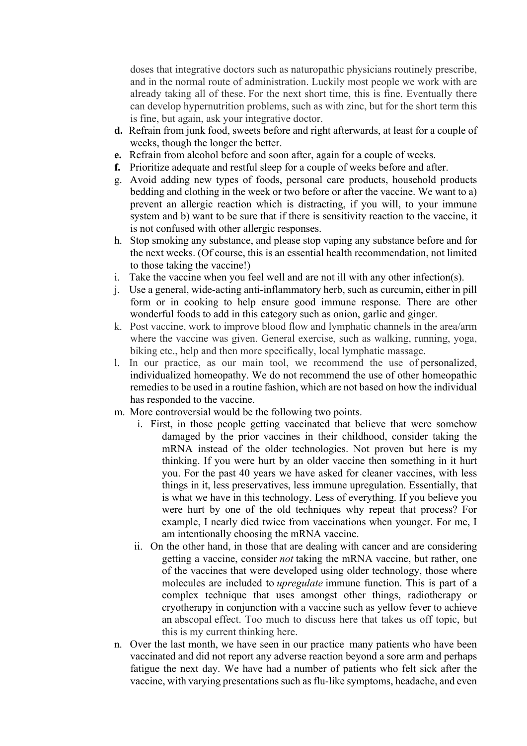doses that integrative doctors such as naturopathic physicians routinely prescribe, and in the normal route of administration. Luckily most people we work with are already taking all of these. For the next short time, this is fine. Eventually there can develop hypernutrition problems, such as with zinc, but for the short term this is fine, but again, ask your integrative doctor.

- **d.** Refrain from junk food, sweets before and right afterwards, at least for a couple of weeks, though the longer the better.
- **e.** Refrain from alcohol before and soon after, again for a couple of weeks.
- **f.** Prioritize adequate and restful sleep for a couple of weeks before and after.
- g. Avoid adding new types of foods, personal care products, household products bedding and clothing in the week or two before or after the vaccine. We want to a) prevent an allergic reaction which is distracting, if you will, to your immune system and b) want to be sure that if there is sensitivity reaction to the vaccine, it is not confused with other allergic responses.
- h. Stop smoking any substance, and please stop vaping any substance before and for the next weeks. (Of course, this is an essential health recommendation, not limited to those taking the vaccine!)
- i. Take the vaccine when you feel well and are not ill with any other infection(s).
- j. Use a general, wide-acting anti-inflammatory herb, such as curcumin, either in pill form or in cooking to help ensure good immune response. There are other wonderful foods to add in this category such as onion, garlic and ginger.
- k. Post vaccine, work to improve blood flow and lymphatic channels in the area/arm where the vaccine was given. General exercise, such as walking, running, yoga, biking etc., help and then more specifically, local lymphatic massage.
- l. In our practice, as our main tool, we recommend the use of personalized, individualized homeopathy. We do not recommend the use of other homeopathic remedies to be used in a routine fashion, which are not based on how the individual has responded to the vaccine.
- m. More controversial would be the following two points.
	- i. First, in those people getting vaccinated that believe that were somehow damaged by the prior vaccines in their childhood, consider taking the mRNA instead of the older technologies. Not proven but here is my thinking. If you were hurt by an older vaccine then something in it hurt you. For the past 40 years we have asked for cleaner vaccines, with less things in it, less preservatives, less immune upregulation. Essentially, that is what we have in this technology. Less of everything. If you believe you were hurt by one of the old techniques why repeat that process? For example, I nearly died twice from vaccinations when younger. For me, I am intentionally choosing the mRNA vaccine.
	- ii. On the other hand, in those that are dealing with cancer and are considering getting a vaccine, consider *not* taking the mRNA vaccine, but rather, one of the vaccines that were developed using older technology, those where molecules are included to *upregulate* immune function. This is part of a complex technique that uses amongst other things, radiotherapy or cryotherapy in conjunction with a vaccine such as yellow fever to achieve an abscopal effect. Too much to discuss here that takes us off topic, but this is my current thinking here.
- n. Over the last month, we have seen in our practice many patients who have been vaccinated and did not report any adverse reaction beyond a sore arm and perhaps fatigue the next day. We have had a number of patients who felt sick after the vaccine, with varying presentations such as flu-like symptoms, headache, and even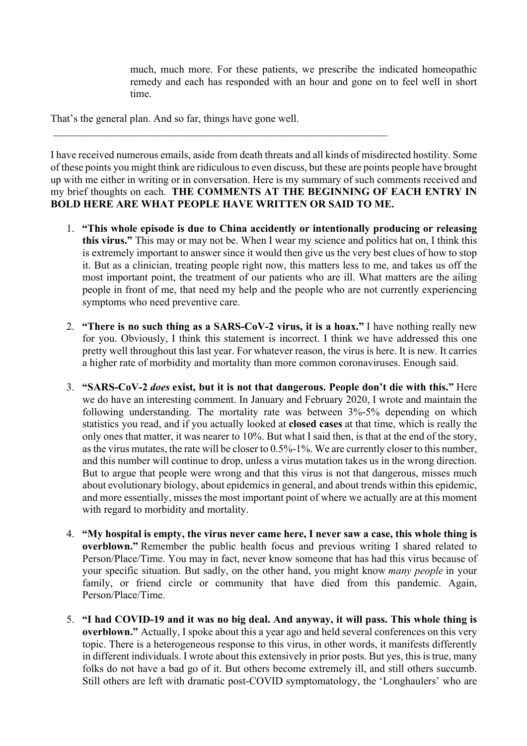much, much more. For these patients, we prescribe the indicated homeopathic remedy and each has responded with an hour and gone on to feel well in short time.

That's the general plan. And so far, things have gone well.

I have received numerous emails, aside from death threats and all kinds of misdirected hostility. Some of these points you might think are ridiculous to even discuss, but these are points people have brought up with me either in writing or in conversation. Here is my summary of such comments received and my brief thoughts on each. **THE COMMENTS AT THE BEGINNING OF EACH ENTRY IN BOLD HERE ARE WHAT PEOPLE HAVE WRITTEN OR SAID TO ME.**

- 1. **"This whole episode is due to China accidently or intentionally producing or releasing this virus."** This may or may not be. When I wear my science and politics hat on, I think this is extremely important to answer since it would then give us the very best clues of how to stop it. But as a clinician, treating people right now, this matters less to me, and takes us off the most important point, the treatment of our patients who are ill. What matters are the ailing people in front of me, that need my help and the people who are not currently experiencing symptoms who need preventive care.
- 2. **"There is no such thing as a SARS-CoV-2 virus, it is a hoax."** I have nothing really new for you. Obviously, I think this statement is incorrect. I think we have addressed this one pretty well throughout this last year. For whatever reason, the virus is here. It is new. It carries a higher rate of morbidity and mortality than more common coronaviruses. Enough said.
- 3. **"SARS-CoV-2** *does* **exist, but it is not that dangerous. People don't die with this."** Here we do have an interesting comment. In January and February 2020, I wrote and maintain the following understanding. The mortality rate was between 3%-5% depending on which statistics you read, and if you actually looked at **closed cases** at that time, which is really the only ones that matter, it was nearer to 10%. But what I said then, is that at the end of the story, as the virus mutates, the rate will be closer to 0.5%-1%. We are currently closer to this number, and this number will continue to drop, unless a virus mutation takes us in the wrong direction. But to argue that people were wrong and that this virus is not that dangerous, misses much about evolutionary biology, about epidemics in general, and about trends within this epidemic, and more essentially, misses the most important point of where we actually are at this moment with regard to morbidity and mortality.
- 4. **"My hospital is empty, the virus never came here, I never saw a case, this whole thing is overblown."** Remember the public health focus and previous writing I shared related to Person/Place/Time. You may in fact, never know someone that has had this virus because of your specific situation. But sadly, on the other hand, you might know *many people* in your family, or friend circle or community that have died from this pandemic. Again, Person/Place/Time.
- 5. **"I had COVID-19 and it was no big deal. And anyway, it will pass. This whole thing is overblown."** Actually, I spoke about this a year ago and held several conferences on this very topic. There is a heterogeneous response to this virus, in other words, it manifests differently in different individuals. I wrote about this extensively in prior posts. But yes, this is true, many folks do not have a bad go of it. But others become extremely ill, and still others succumb. Still others are left with dramatic post-COVID symptomatology, the 'Longhaulers' who are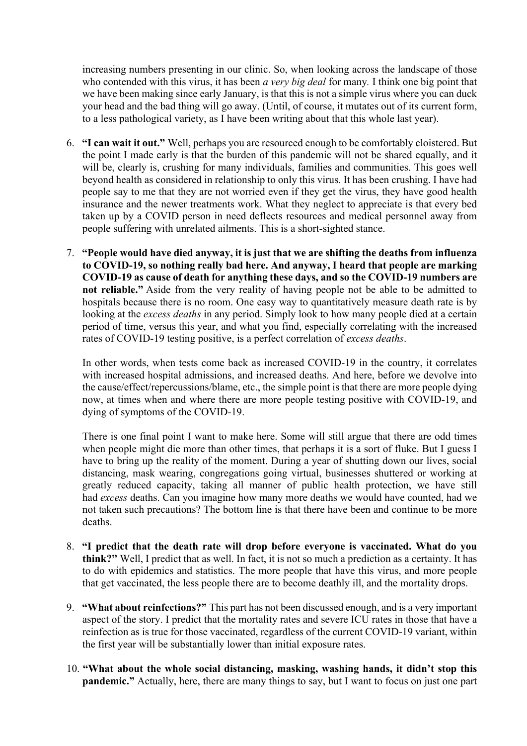increasing numbers presenting in our clinic. So, when looking across the landscape of those who contended with this virus, it has been *a very big deal* for many*.* I think one big point that we have been making since early January, is that this is not a simple virus where you can duck your head and the bad thing will go away. (Until, of course, it mutates out of its current form, to a less pathological variety, as I have been writing about that this whole last year).

- 6. **"I can wait it out."** Well, perhaps you are resourced enough to be comfortably cloistered. But the point I made early is that the burden of this pandemic will not be shared equally, and it will be, clearly is, crushing for many individuals, families and communities. This goes well beyond health as considered in relationship to only this virus. It has been crushing. I have had people say to me that they are not worried even if they get the virus, they have good health insurance and the newer treatments work. What they neglect to appreciate is that every bed taken up by a COVID person in need deflects resources and medical personnel away from people suffering with unrelated ailments. This is a short-sighted stance.
- 7. **"People would have died anyway, it is just that we are shifting the deaths from influenza to COVID-19, so nothing really bad here. And anyway, I heard that people are marking COVID-19 as cause of death for anything these days, and so the COVID-19 numbers are not reliable."** Aside from the very reality of having people not be able to be admitted to hospitals because there is no room. One easy way to quantitatively measure death rate is by looking at the *excess deaths* in any period. Simply look to how many people died at a certain period of time, versus this year, and what you find, especially correlating with the increased rates of COVID-19 testing positive, is a perfect correlation of *excess deaths*.

In other words, when tests come back as increased COVID-19 in the country, it correlates with increased hospital admissions, and increased deaths. And here, before we devolve into the cause/effect/repercussions/blame, etc., the simple point is that there are more people dying now, at times when and where there are more people testing positive with COVID-19, and dying of symptoms of the COVID-19.

There is one final point I want to make here. Some will still argue that there are odd times when people might die more than other times, that perhaps it is a sort of fluke. But I guess I have to bring up the reality of the moment. During a year of shutting down our lives, social distancing, mask wearing, congregations going virtual, businesses shuttered or working at greatly reduced capacity, taking all manner of public health protection, we have still had *excess* deaths. Can you imagine how many more deaths we would have counted, had we not taken such precautions? The bottom line is that there have been and continue to be more deaths.

- 8. **"I predict that the death rate will drop before everyone is vaccinated. What do you think?"** Well, I predict that as well. In fact, it is not so much a prediction as a certainty. It has to do with epidemics and statistics. The more people that have this virus, and more people that get vaccinated, the less people there are to become deathly ill, and the mortality drops.
- 9. **"What about reinfections?"** This part has not been discussed enough, and is a very important aspect of the story. I predict that the mortality rates and severe ICU rates in those that have a reinfection as is true for those vaccinated, regardless of the current COVID-19 variant, within the first year will be substantially lower than initial exposure rates.
- 10. **"What about the whole social distancing, masking, washing hands, it didn't stop this pandemic."** Actually, here, there are many things to say, but I want to focus on just one part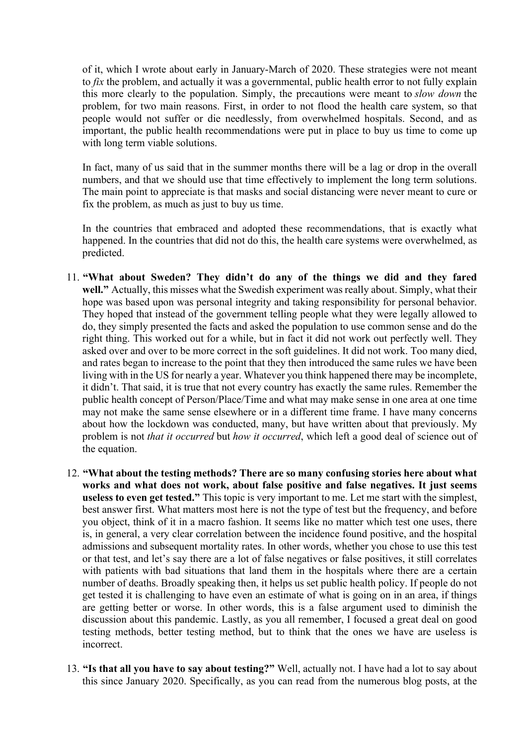of it, which I wrote about early in January-March of 2020. These strategies were not meant to *fix* the problem, and actually it was a governmental, public health error to not fully explain this more clearly to the population. Simply, the precautions were meant to *slow down* the problem, for two main reasons. First, in order to not flood the health care system, so that people would not suffer or die needlessly, from overwhelmed hospitals. Second, and as important, the public health recommendations were put in place to buy us time to come up with long term viable solutions.

In fact, many of us said that in the summer months there will be a lag or drop in the overall numbers, and that we should use that time effectively to implement the long term solutions. The main point to appreciate is that masks and social distancing were never meant to cure or fix the problem, as much as just to buy us time.

In the countries that embraced and adopted these recommendations, that is exactly what happened. In the countries that did not do this, the health care systems were overwhelmed, as predicted.

- 11. **"What about Sweden? They didn't do any of the things we did and they fared well."** Actually, this misses what the Swedish experiment was really about. Simply, what their hope was based upon was personal integrity and taking responsibility for personal behavior. They hoped that instead of the government telling people what they were legally allowed to do, they simply presented the facts and asked the population to use common sense and do the right thing. This worked out for a while, but in fact it did not work out perfectly well. They asked over and over to be more correct in the soft guidelines. It did not work. Too many died, and rates began to increase to the point that they then introduced the same rules we have been living with in the US for nearly a year. Whatever you think happened there may be incomplete, it didn't. That said, it is true that not every country has exactly the same rules. Remember the public health concept of Person/Place/Time and what may make sense in one area at one time may not make the same sense elsewhere or in a different time frame. I have many concerns about how the lockdown was conducted, many, but have written about that previously. My problem is not *that it occurred* but *how it occurred*, which left a good deal of science out of the equation.
- 12. **"What about the testing methods? There are so many confusing stories here about what works and what does not work, about false positive and false negatives. It just seems useless to even get tested."** This topic is very important to me. Let me start with the simplest, best answer first. What matters most here is not the type of test but the frequency, and before you object, think of it in a macro fashion. It seems like no matter which test one uses, there is, in general, a very clear correlation between the incidence found positive, and the hospital admissions and subsequent mortality rates. In other words, whether you chose to use this test or that test, and let's say there are a lot of false negatives or false positives, it still correlates with patients with bad situations that land them in the hospitals where there are a certain number of deaths. Broadly speaking then, it helps us set public health policy. If people do not get tested it is challenging to have even an estimate of what is going on in an area, if things are getting better or worse. In other words, this is a false argument used to diminish the discussion about this pandemic. Lastly, as you all remember, I focused a great deal on good testing methods, better testing method, but to think that the ones we have are useless is incorrect.
- 13. **"Is that all you have to say about testing?"** Well, actually not. I have had a lot to say about this since January 2020. Specifically, as you can read from the numerous blog posts, at the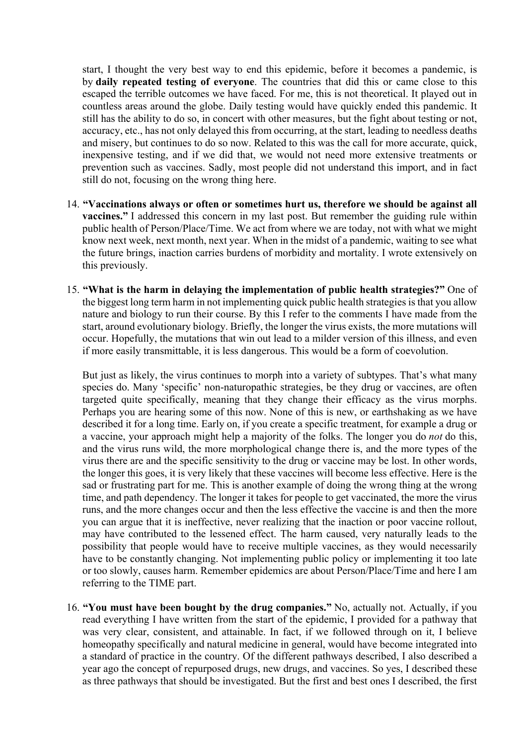start, I thought the very best way to end this epidemic, before it becomes a pandemic, is by **daily repeated testing of everyone**. The countries that did this or came close to this escaped the terrible outcomes we have faced. For me, this is not theoretical. It played out in countless areas around the globe. Daily testing would have quickly ended this pandemic. It still has the ability to do so, in concert with other measures, but the fight about testing or not, accuracy, etc., has not only delayed this from occurring, at the start, leading to needless deaths and misery, but continues to do so now. Related to this was the call for more accurate, quick, inexpensive testing, and if we did that, we would not need more extensive treatments or prevention such as vaccines. Sadly, most people did not understand this import, and in fact still do not, focusing on the wrong thing here.

- 14. **"Vaccinations always or often or sometimes hurt us, therefore we should be against all vaccines."** I addressed this concern in my last post. But remember the guiding rule within public health of Person/Place/Time. We act from where we are today, not with what we might know next week, next month, next year. When in the midst of a pandemic, waiting to see what the future brings, inaction carries burdens of morbidity and mortality. I wrote extensively on this previously.
- 15. **"What is the harm in delaying the implementation of public health strategies?"** One of the biggest long term harm in not implementing quick public health strategies is that you allow nature and biology to run their course. By this I refer to the comments I have made from the start, around evolutionary biology. Briefly, the longer the virus exists, the more mutations will occur. Hopefully, the mutations that win out lead to a milder version of this illness, and even if more easily transmittable, it is less dangerous. This would be a form of coevolution.

But just as likely, the virus continues to morph into a variety of subtypes. That's what many species do. Many 'specific' non-naturopathic strategies, be they drug or vaccines, are often targeted quite specifically, meaning that they change their efficacy as the virus morphs. Perhaps you are hearing some of this now. None of this is new, or earthshaking as we have described it for a long time. Early on, if you create a specific treatment, for example a drug or a vaccine, your approach might help a majority of the folks. The longer you do *not* do this, and the virus runs wild, the more morphological change there is, and the more types of the virus there are and the specific sensitivity to the drug or vaccine may be lost. In other words, the longer this goes, it is very likely that these vaccines will become less effective. Here is the sad or frustrating part for me. This is another example of doing the wrong thing at the wrong time, and path dependency. The longer it takes for people to get vaccinated, the more the virus runs, and the more changes occur and then the less effective the vaccine is and then the more you can argue that it is ineffective, never realizing that the inaction or poor vaccine rollout, may have contributed to the lessened effect. The harm caused, very naturally leads to the possibility that people would have to receive multiple vaccines, as they would necessarily have to be constantly changing. Not implementing public policy or implementing it too late or too slowly, causes harm. Remember epidemics are about Person/Place/Time and here I am referring to the TIME part.

16. **"You must have been bought by the drug companies."** No, actually not. Actually, if you read everything I have written from the start of the epidemic, I provided for a pathway that was very clear, consistent, and attainable. In fact, if we followed through on it, I believe homeopathy specifically and natural medicine in general, would have become integrated into a standard of practice in the country. Of the different pathways described, I also described a year ago the concept of repurposed drugs, new drugs, and vaccines. So yes, I described these as three pathways that should be investigated. But the first and best ones I described, the first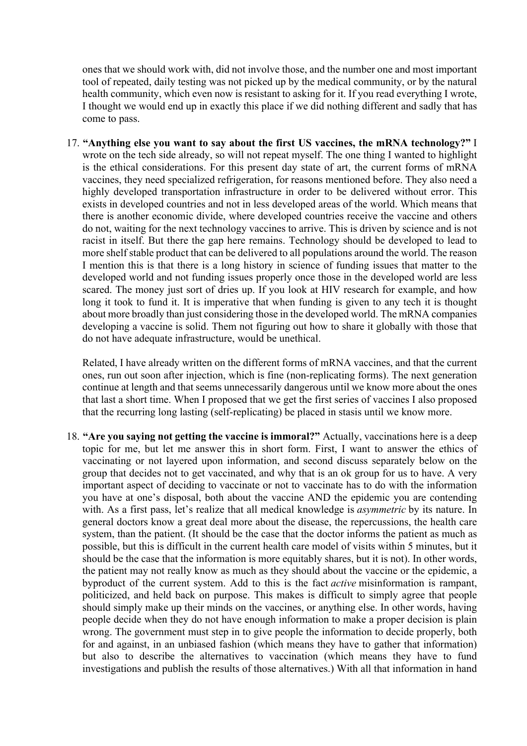ones that we should work with, did not involve those, and the number one and most important tool of repeated, daily testing was not picked up by the medical community, or by the natural health community, which even now is resistant to asking for it. If you read everything I wrote, I thought we would end up in exactly this place if we did nothing different and sadly that has come to pass.

17. **"Anything else you want to say about the first US vaccines, the mRNA technology?"** I wrote on the tech side already, so will not repeat myself. The one thing I wanted to highlight is the ethical considerations. For this present day state of art, the current forms of mRNA vaccines, they need specialized refrigeration, for reasons mentioned before. They also need a highly developed transportation infrastructure in order to be delivered without error. This exists in developed countries and not in less developed areas of the world. Which means that there is another economic divide, where developed countries receive the vaccine and others do not, waiting for the next technology vaccines to arrive. This is driven by science and is not racist in itself. But there the gap here remains. Technology should be developed to lead to more shelf stable product that can be delivered to all populations around the world. The reason I mention this is that there is a long history in science of funding issues that matter to the developed world and not funding issues properly once those in the developed world are less scared. The money just sort of dries up. If you look at HIV research for example, and how long it took to fund it. It is imperative that when funding is given to any tech it is thought about more broadly than just considering those in the developed world. The mRNA companies developing a vaccine is solid. Them not figuring out how to share it globally with those that do not have adequate infrastructure, would be unethical.

Related, I have already written on the different forms of mRNA vaccines, and that the current ones, run out soon after injection, which is fine (non-replicating forms). The next generation continue at length and that seems unnecessarily dangerous until we know more about the ones that last a short time. When I proposed that we get the first series of vaccines I also proposed that the recurring long lasting (self-replicating) be placed in stasis until we know more.

18. **"Are you saying not getting the vaccine is immoral?"** Actually, vaccinations here is a deep topic for me, but let me answer this in short form. First, I want to answer the ethics of vaccinating or not layered upon information, and second discuss separately below on the group that decides not to get vaccinated, and why that is an ok group for us to have. A very important aspect of deciding to vaccinate or not to vaccinate has to do with the information you have at one's disposal, both about the vaccine AND the epidemic you are contending with. As a first pass, let's realize that all medical knowledge is *asymmetric* by its nature. In general doctors know a great deal more about the disease, the repercussions, the health care system, than the patient. (It should be the case that the doctor informs the patient as much as possible, but this is difficult in the current health care model of visits within 5 minutes, but it should be the case that the information is more equitably shares, but it is not). In other words, the patient may not really know as much as they should about the vaccine or the epidemic, a byproduct of the current system. Add to this is the fact *active* misinformation is rampant, politicized, and held back on purpose. This makes is difficult to simply agree that people should simply make up their minds on the vaccines, or anything else. In other words, having people decide when they do not have enough information to make a proper decision is plain wrong. The government must step in to give people the information to decide properly, both for and against, in an unbiased fashion (which means they have to gather that information) but also to describe the alternatives to vaccination (which means they have to fund investigations and publish the results of those alternatives.) With all that information in hand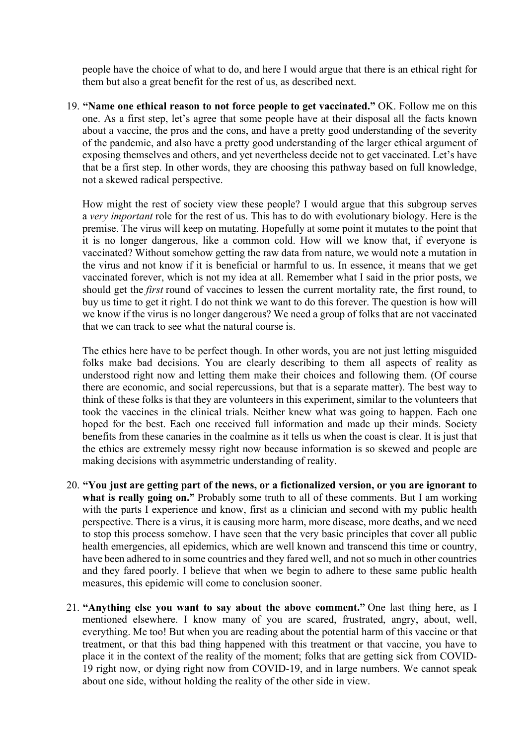people have the choice of what to do, and here I would argue that there is an ethical right for them but also a great benefit for the rest of us, as described next.

19. **"Name one ethical reason to not force people to get vaccinated."** OK. Follow me on this one. As a first step, let's agree that some people have at their disposal all the facts known about a vaccine, the pros and the cons, and have a pretty good understanding of the severity of the pandemic, and also have a pretty good understanding of the larger ethical argument of exposing themselves and others, and yet nevertheless decide not to get vaccinated. Let's have that be a first step. In other words, they are choosing this pathway based on full knowledge, not a skewed radical perspective.

How might the rest of society view these people? I would argue that this subgroup serves a *very important* role for the rest of us. This has to do with evolutionary biology. Here is the premise. The virus will keep on mutating. Hopefully at some point it mutates to the point that it is no longer dangerous, like a common cold. How will we know that, if everyone is vaccinated? Without somehow getting the raw data from nature, we would note a mutation in the virus and not know if it is beneficial or harmful to us. In essence, it means that we get vaccinated forever, which is not my idea at all. Remember what I said in the prior posts, we should get the *first* round of vaccines to lessen the current mortality rate, the first round, to buy us time to get it right. I do not think we want to do this forever. The question is how will we know if the virus is no longer dangerous? We need a group of folks that are not vaccinated that we can track to see what the natural course is.

The ethics here have to be perfect though. In other words, you are not just letting misguided folks make bad decisions. You are clearly describing to them all aspects of reality as understood right now and letting them make their choices and following them. (Of course there are economic, and social repercussions, but that is a separate matter). The best way to think of these folks is that they are volunteers in this experiment, similar to the volunteers that took the vaccines in the clinical trials. Neither knew what was going to happen. Each one hoped for the best. Each one received full information and made up their minds. Society benefits from these canaries in the coalmine as it tells us when the coast is clear. It is just that the ethics are extremely messy right now because information is so skewed and people are making decisions with asymmetric understanding of reality.

- 20. **"You just are getting part of the news, or a fictionalized version, or you are ignorant to what is really going on."** Probably some truth to all of these comments. But I am working with the parts I experience and know, first as a clinician and second with my public health perspective. There is a virus, it is causing more harm, more disease, more deaths, and we need to stop this process somehow. I have seen that the very basic principles that cover all public health emergencies, all epidemics, which are well known and transcend this time or country, have been adhered to in some countries and they fared well, and not so much in other countries and they fared poorly. I believe that when we begin to adhere to these same public health measures, this epidemic will come to conclusion sooner.
- 21. **"Anything else you want to say about the above comment."** One last thing here, as I mentioned elsewhere. I know many of you are scared, frustrated, angry, about, well, everything. Me too! But when you are reading about the potential harm of this vaccine or that treatment, or that this bad thing happened with this treatment or that vaccine, you have to place it in the context of the reality of the moment; folks that are getting sick from COVID-19 right now, or dying right now from COVID-19, and in large numbers. We cannot speak about one side, without holding the reality of the other side in view.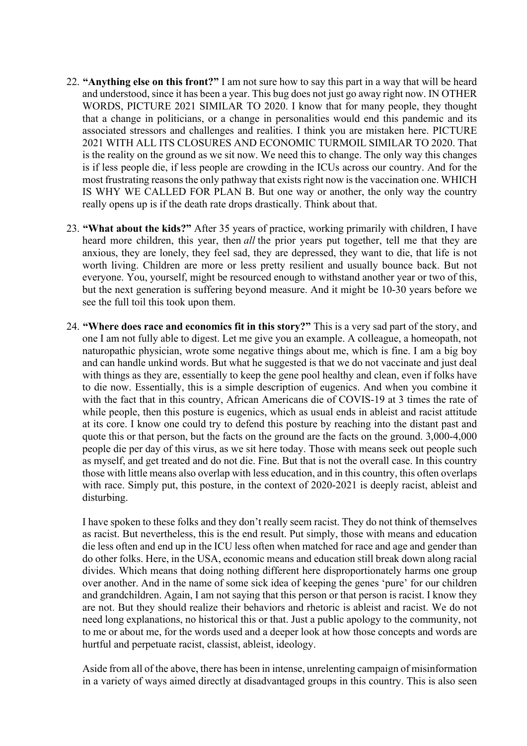- 22. **"Anything else on this front?"** I am not sure how to say this part in a way that will be heard and understood, since it has been a year. This bug does not just go away right now. IN OTHER WORDS, PICTURE 2021 SIMILAR TO 2020. I know that for many people, they thought that a change in politicians, or a change in personalities would end this pandemic and its associated stressors and challenges and realities. I think you are mistaken here. PICTURE 2021 WITH ALL ITS CLOSURES AND ECONOMIC TURMOIL SIMILAR TO 2020. That is the reality on the ground as we sit now. We need this to change. The only way this changes is if less people die, if less people are crowding in the ICUs across our country. And for the most frustrating reasons the only pathway that exists right now is the vaccination one. WHICH IS WHY WE CALLED FOR PLAN B. But one way or another, the only way the country really opens up is if the death rate drops drastically. Think about that.
- 23. **"What about the kids?"** After 35 years of practice, working primarily with children, I have heard more children, this year, then *all* the prior years put together, tell me that they are anxious, they are lonely, they feel sad, they are depressed, they want to die, that life is not worth living. Children are more or less pretty resilient and usually bounce back. But not everyone. You, yourself, might be resourced enough to withstand another year or two of this, but the next generation is suffering beyond measure. And it might be 10-30 years before we see the full toil this took upon them.
- 24. **"Where does race and economics fit in this story?"** This is a very sad part of the story, and one I am not fully able to digest. Let me give you an example. A colleague, a homeopath, not naturopathic physician, wrote some negative things about me, which is fine. I am a big boy and can handle unkind words. But what he suggested is that we do not vaccinate and just deal with things as they are, essentially to keep the gene pool healthy and clean, even if folks have to die now. Essentially, this is a simple description of eugenics. And when you combine it with the fact that in this country, African Americans die of COVIS-19 at 3 times the rate of while people, then this posture is eugenics, which as usual ends in ableist and racist attitude at its core. I know one could try to defend this posture by reaching into the distant past and quote this or that person, but the facts on the ground are the facts on the ground. 3,000-4,000 people die per day of this virus, as we sit here today. Those with means seek out people such as myself, and get treated and do not die. Fine. But that is not the overall case. In this country those with little means also overlap with less education, and in this country, this often overlaps with race. Simply put, this posture, in the context of 2020-2021 is deeply racist, ableist and disturbing.

I have spoken to these folks and they don't really seem racist. They do not think of themselves as racist. But nevertheless, this is the end result. Put simply, those with means and education die less often and end up in the ICU less often when matched for race and age and gender than do other folks. Here, in the USA, economic means and education still break down along racial divides. Which means that doing nothing different here disproportionately harms one group over another. And in the name of some sick idea of keeping the genes 'pure' for our children and grandchildren. Again, I am not saying that this person or that person is racist. I know they are not. But they should realize their behaviors and rhetoric is ableist and racist. We do not need long explanations, no historical this or that. Just a public apology to the community, not to me or about me, for the words used and a deeper look at how those concepts and words are hurtful and perpetuate racist, classist, ableist, ideology.

Aside from all of the above, there has been in intense, unrelenting campaign of misinformation in a variety of ways aimed directly at disadvantaged groups in this country. This is also seen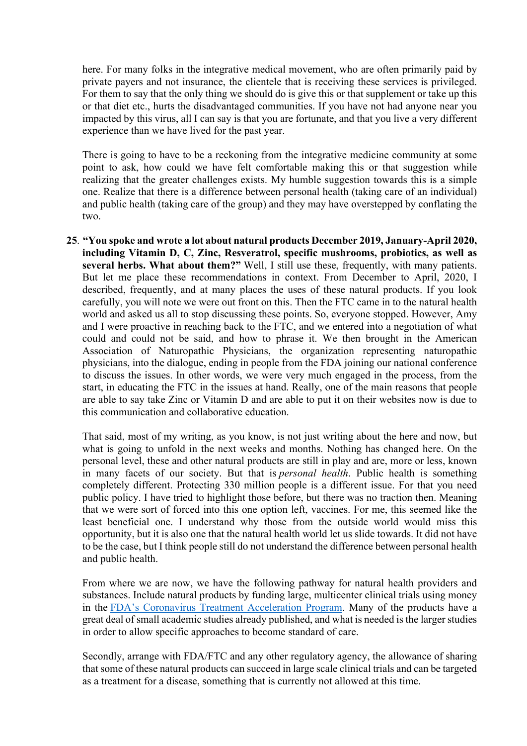here. For many folks in the integrative medical movement, who are often primarily paid by private payers and not insurance, the clientele that is receiving these services is privileged. For them to say that the only thing we should do is give this or that supplement or take up this or that diet etc., hurts the disadvantaged communities. If you have not had anyone near you impacted by this virus, all I can say is that you are fortunate, and that you live a very different experience than we have lived for the past year.

There is going to have to be a reckoning from the integrative medicine community at some point to ask, how could we have felt comfortable making this or that suggestion while realizing that the greater challenges exists. My humble suggestion towards this is a simple one. Realize that there is a difference between personal health (taking care of an individual) and public health (taking care of the group) and they may have overstepped by conflating the two.

**25**. **"You spoke and wrote a lot about natural products December 2019, January-April 2020, including Vitamin D, C, Zinc, Resveratrol, specific mushrooms, probiotics, as well as several herbs. What about them?"** Well, I still use these, frequently, with many patients. But let me place these recommendations in context. From December to April, 2020, I described, frequently, and at many places the uses of these natural products. If you look carefully, you will note we were out front on this. Then the FTC came in to the natural health world and asked us all to stop discussing these points. So, everyone stopped. However, Amy and I were proactive in reaching back to the FTC, and we entered into a negotiation of what could and could not be said, and how to phrase it. We then brought in the American Association of Naturopathic Physicians, the organization representing naturopathic physicians, into the dialogue, ending in people from the FDA joining our national conference to discuss the issues. In other words, we were very much engaged in the process, from the start, in educating the FTC in the issues at hand. Really, one of the main reasons that people are able to say take Zinc or Vitamin D and are able to put it on their websites now is due to this communication and collaborative education.

That said, most of my writing, as you know, is not just writing about the here and now, but what is going to unfold in the next weeks and months. Nothing has changed here. On the personal level, these and other natural products are still in play and are, more or less, known in many facets of our society. But that is *personal health*. Public health is something completely different. Protecting 330 million people is a different issue. For that you need public policy. I have tried to highlight those before, but there was no traction then. Meaning that we were sort of forced into this one option left, vaccines. For me, this seemed like the least beneficial one. I understand why those from the outside world would miss this opportunity, but it is also one that the natural health world let us slide towards. It did not have to be the case, but I think people still do not understand the difference between personal health and public health.

From where we are now, we have the following pathway for natural health providers and substances. Include natural products by funding large, multicenter clinical trials using money in the FDA's Coronavirus Treatment Acceleration Program. Many of the products have a great deal of small academic studies already published, and what is needed is the larger studies in order to allow specific approaches to become standard of care.

Secondly, arrange with FDA/FTC and any other regulatory agency, the allowance of sharing that some of these natural products can succeed in large scale clinical trials and can be targeted as a treatment for a disease, something that is currently not allowed at this time.